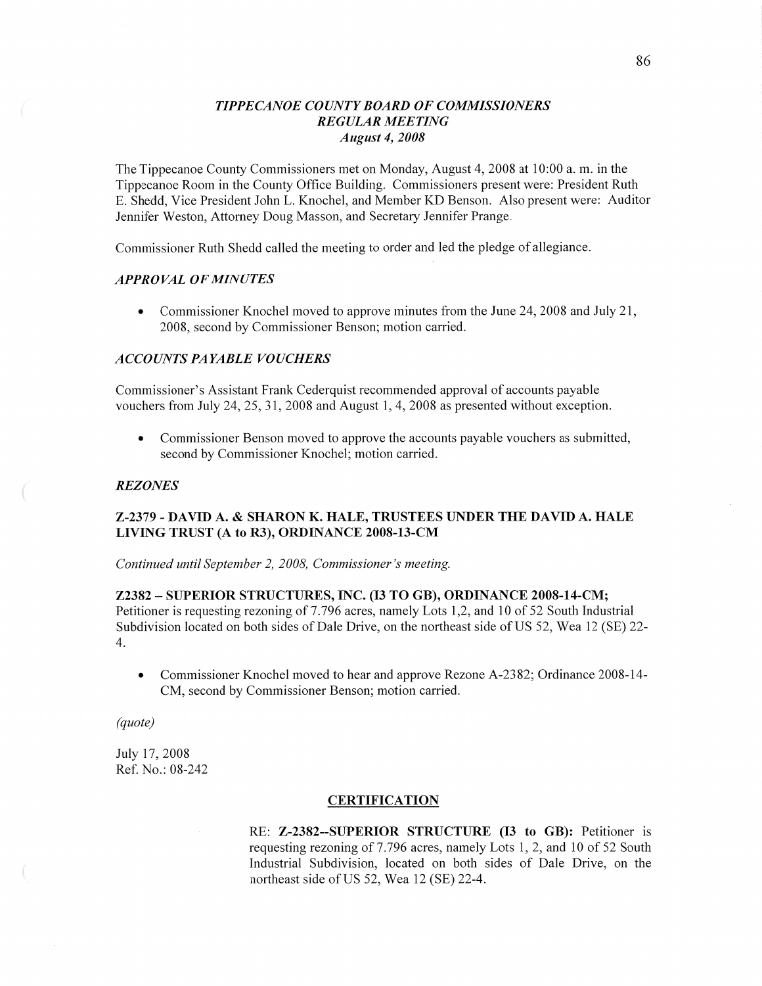# *T IPPE CANOE COUNTY BOARD* OF *COMMISSIONERS REGULAR MEETING August* 4, *2008*

The Tippecanoe County Commissioners met on Monday, August 4, 2008 at 10:00 a. m. in the Tippecanoe Room in the County Office Building. Commissioners present were: President Ruth E. Shedd, Vice President John L. Knochel, and Member KD Benson. Also present were: Auditor Jennifer Weston, Attorney Doug Masson, and Secretary Jennifer Prange.

Commissioner Ruth Shedd called the meeting to order and led the pledge of allegiance.

# **APPROVAL OF MINUTES**

**0** Commissioner Knochel moved to approve minutes from the June 24, 2008 and July 21, 2008, second by Commissioner Benson; motion carried.

### *ACCOUNTS* PA *YABLE VOUCHERS*

Commissioner's Assistant Frank Cederquist recommended approval of accounts payable vouchers from July 24, 25, 31, 2008 and August I, 4, 2008 as presented without exception.

**0** Commissioner Benson moved to approve the accounts payable vouchers as submitted, second by Commissioner Knoche]; motion carried.

### REZ *ONES*

## **Z-2379** *-* **DAVID** A. **& SHARON** K. **HALE, TRUSTEES UNDER** THE **DAVID** A. **HALE LIVING TRUST** (A to R3), **ORDINANCE 2008—13-CM**

*Continued until September* 2, *2008, Commissioner's meeting.* 

### **Z2382** — SUPERIOR **STRUCTURES, INC.** (13 TO GB), **ORDINANCE 2008-14—CM;**

Petitioner is requesting rezoning of 7.796 acres, namely Lots 1,2, and 10 of 52 South Industrial Subdivision located on both sides of Dale Drive, on the northeast side of US 52, Wea 12 (SE) 22- 4.

• Commissioner Knochel moved to hear and approve Rezone A-2382; Ordinance 2008-14-CM, second by Commissioner Benson; motion carried.

*(quote)* 

July 17, 2008 Ref. No.: 08-242

## **CERTIFICATION**

RE: **Z-2382--SUPERIOR** STRUCTURE (I3 to GB): Petitioner is requesting rezoning of 7.796 acres, namely Lots 1, 2, and 10 of 52 South Industrial Subdivision, located on both sides of Dale Drive, on the northeast side of US 52, Wea 12 (SE) 22-4.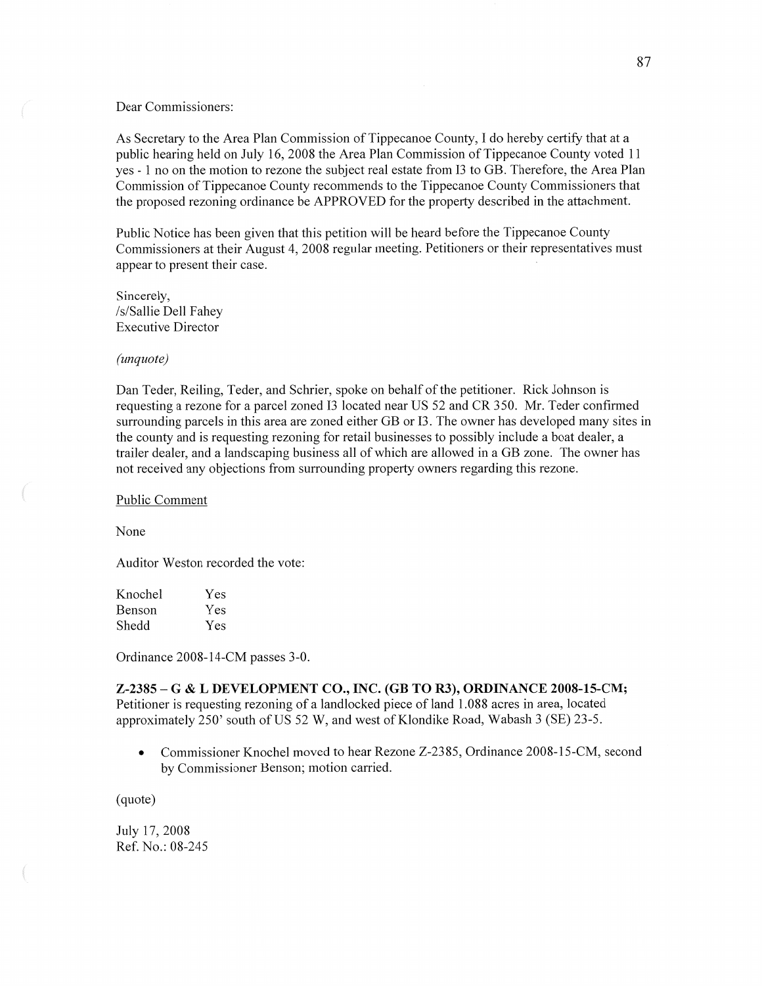#### Dear Commissioners:

As Secretary to the Area Plan Commission of Tippecanoe County, **I** do hereby certify that at <sup>a</sup> public hearing held on July 16, 2008 the Area Plan Commission of Tippecanoe County voted 11 yes *-* 1 no on the motion to rezone the subject real estate from 13 to GB. Therefore, the Area **Plan**  Commission of Tippecanoe County recommends to the Tippecanoe County Commissioners that the proposed rezoning ordinance be APPROVED for the property described in the attachment.

Public Notice has been given that this petition will be heard before the Tippecanoe County Commissioners at their August 4, 2008 regular meeting. Petitioners or their representatives must appear to present their case.

Sincerely, /s/ Sallie Dell Fahey Executive Director

#### *(unquote)*

Dan Teder, Reiling, Teder, and Schrier, spoke on behalf of the petitioner. Rick Johnson is requesting **a** rezone for a parcel zoned 13 located near US 52 and CR 350. Mr. Teder confirmed surrounding parcels in this area are zoned either GB or 13. The owner has developed many sites in the county and is requesting rezoning for retail businesses to possibly include a boat dealer, a trailer dealer, and a landscaping business all of which are allowed in **a** GB zone. The owner has not received any objections from surrounding property owners regarding this rezone.

Public Comment

None

Auditor Weston recorded the vote:

| Yes |
|-----|
| Yes |
| Yes |
|     |

Ordinance 2008—14-CM passes 3-0.

Z—2385 —— **G & L DEVELOPMENT CO., INC.** (GB TO R3), **ORDINANCE 2008-15-CM;**  Petitioner is requesting rezoning of a landlocked piece of land 1.088 acres in area, located approximately 250' south of US 52 W, and west of Klondike Road, Wabash 3 (SE) 23-5.

• Commissioner Knochel moved to hear Rezone Z-2385, Ordinance 2008-15-CM, second by Commissioner Benson; motion carried.

(quote)

July 17, 2008 Ref. No.: 08-245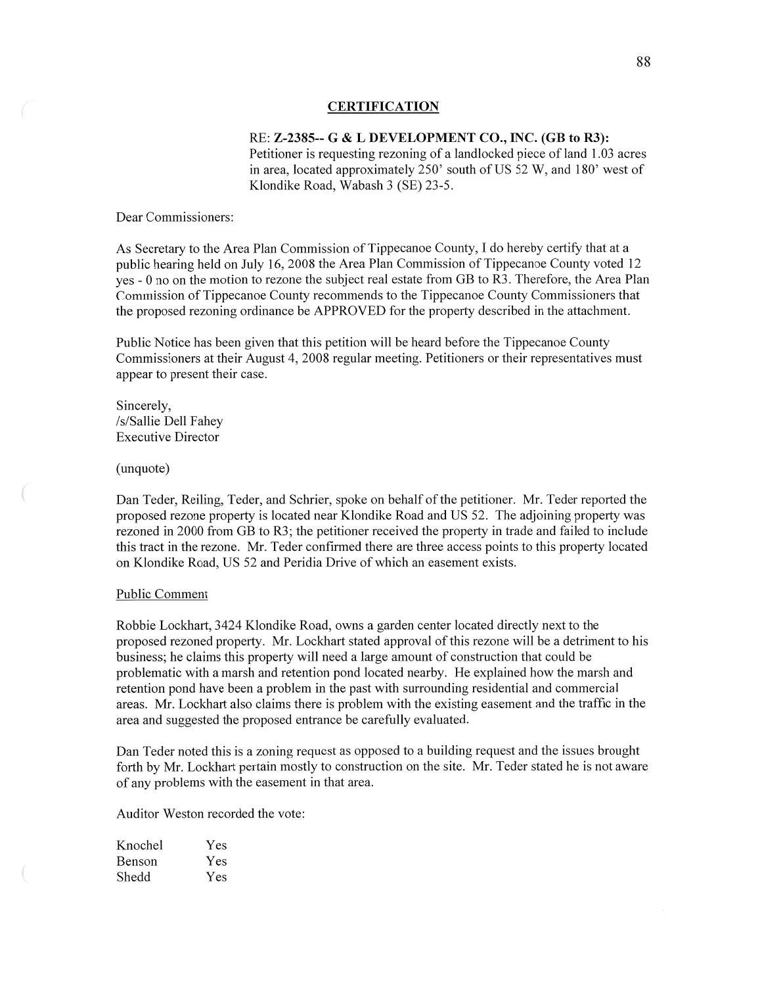#### **CERTIFICATION**

# RE: **Z-2385-—** G **& L DEVELOPMENT** CO., **INC.** (GB to **R3):**

Petitioner is requesting rezoning of a landlocked piece of **land** 1.03 acres in area, located approximately 250' south of US 52 W, and 180' west of Klondike Road, Wabash 3 (SE) 23-5.

Dear Commissioners:

As Secretary to the Area Plan Commission of Tippecanoe County, I do hereby certify that at a public hearing held on July 16, 2008 the Area Plan Commission of Tippecanoe County voted 12 yes *-* 0 no on the motion to rezone the subject real estate from GB to R3. Therefore, the Area **Plan**  Commission of Tippecanoe County recommends to the Tippecanoe County Commissioners that the proposed rezoning ordinance be APPROVED for the property described in the attachment.

Public Notice has been given that this petition will be heard before the Tippecanoe County Commissioners at their August 4, 2008 regular meeting. Petitioners or their representatives must appear to present their case.

Sincerely, /s/Sallie Dell Fahey Executive Director

(unquote)

 $\big($ 

Dan Teder, Reiling, Teder, and Schrier, spoke on behalf of the petitioner. Mr. Teder reported the proposed rezone property is located near Klondike Road and US 52. The adjoining property was rezoned in 2000 from GB to R3; the petitioner received the property in trade and failed to include **this** tract in the rezone. Mr. Teder confirmed there are three access points to this property located on Klondike Road, US 52 and Peridia Drive of which an easement exists.

### Public Comment

Robbie Lockhart, 3424 Klondike Road, owns a garden center located directly next to the proposed rezoned property. Mr. Lockhart stated approval of this rezone will be a detriment to his business; he claims this property will need a large amount of construction that could be problematic with a marsh and retention pond located nearby. He explained how the marsh and retention pond have been a problem in the past with surrounding residential and commercial areas. Mr. Lockhart also claims there is problem with the existing easement and the traffic in the area and suggested the proposed entrance be carefully evaluated.

Dan Teder noted this is a zoning request as opposed to a building request and the issues brought forth by Mr. Lockhart pertain mostly to construction on the site. Mr. Teder stated he is not aware of any problems with the easement in that area.

Auditor Weston recorded the vote:

| Knochel | Yes |
|---------|-----|
| Benson  | Yes |
| Shedd   | Yes |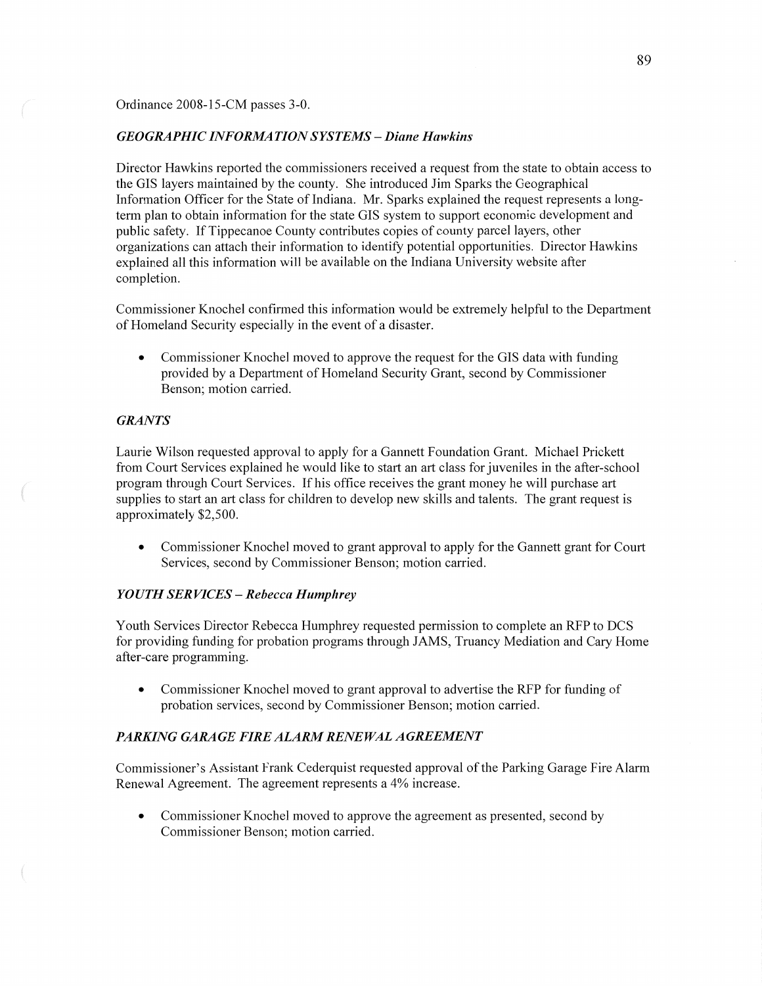Ordinance 2008-15-CM passes 3-0.

### *GEOGRAPHIC INFORMA TION SYSTEMS* — *Diane Hawkins*

Director Hawkins reported the commissioners received a request from the **state** to obtain access to the GIS layers maintained by the county. She introduced Jim Sparks the Geographical Information Officer for the State of Indiana. Mr. Sparks explained the request represents a longterm plan to obtain information for the state GIS system to support economic development and public safety. If Tippecanoe County contributes copies of county parcel layers, other organizations can attach their information to identify potential opportunities. Director Hawkins explained all this information will be available on the Indiana University website after completion.

Commissioner Knochel confirmed this information would be extremely helpful to the Department of Homeland Security especially in the event of **a** disaster.

**0** Commissioner Knochel moved to approve the request for the GIS data with funding provided by a Department of Homeland Security Grant, second by Commissioner Benson; motion carried.

### *GRANTS*

Laurie Wilson requested approval to apply for a Gannett Foundation Grant. Michael Prickett from Court Services explained he would like to start an art class for juveniles in the after-school program through Court Services. If his office receives the grant money he will purchase art supplies to start an art class for children to develop new skills and talents. The grant request is approximately \$2,500.

**0** Commissioner Knochel moved to grant approval to apply for the Gannett grant for Court Services, second by Commissioner Benson; motion carried.

### *YOUTH SERVICES* — *Rebecca Humphrey*

Youth Services Director Rebecca Humphrey requested permission to complete an RFP to DCS for providing funding for probation programs through JAMS, Truancy Mediation and Cary Home after-care programming.

**0** Commissioner Knochel moved to grant approval to advertise the RFP for fimding of probation services, second by Commissioner Benson; motion carried.

### *PARKING GARAGE FIRE ALARM RENEWAL AGREEMENT*

Commissioner's Assistant Frank Cederquist requested approval of the Parking Garage Fire Alarm Renewal Agreement. The agreement represents **a** 4% increase.

**0** Commissioner Knochel moved to approve the agreement as presented, second by Commissioner Benson; motion carried.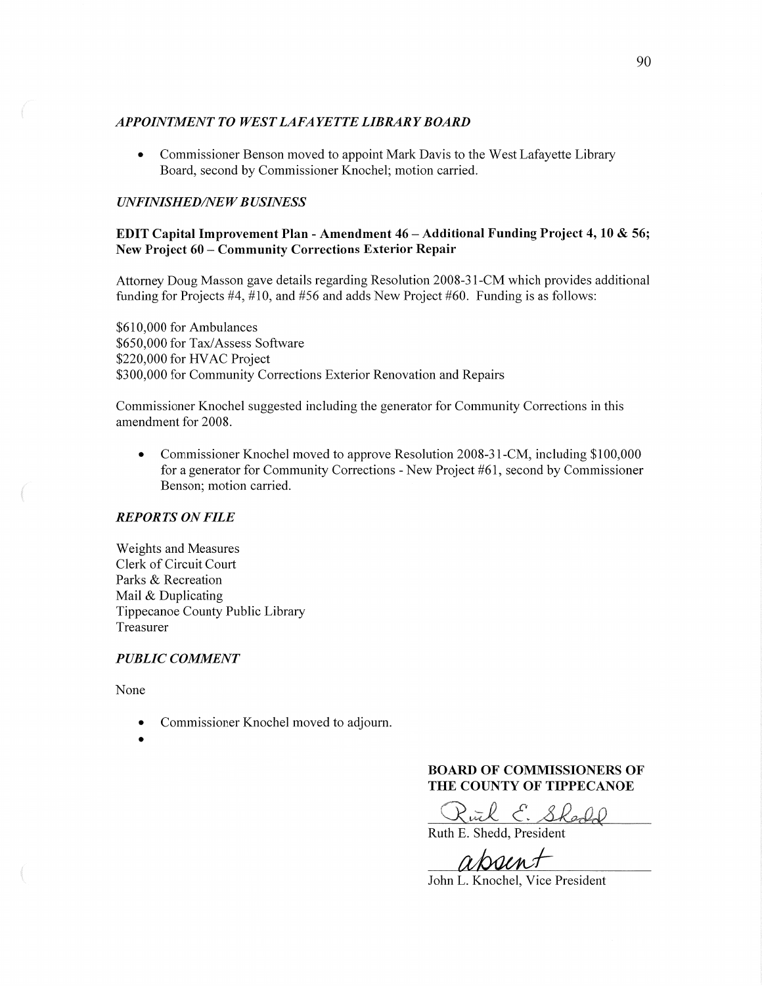## *APPOINTMENT T 0 WEST LAFA* YE *T T E LIBRARY BOARD*

**0** Commissioner Benson moved to appoint Mark Davis to the West Lafayette Library Board, second by Commissioner Knochel; motion carried.

# *UNFINISHED/NE W B USINESS*

# EDIT Capital Improvement Plan *-* Amendment 46 — **Additional** Funding **Project** 4, 10 **&** 56; New **Project** 60 **— Community** Corrections **Exterior Repair**

Attorney Doug Masson gave details regarding Resolution 2008-31-CM which provides additional funding for Projects  $#4, #10,$  and  $#56$  and adds New Project  $#60$ . Funding is as follows:

\$610,000 for Ambulances \$650,000 for Tax/Assess Software \$220,000 for **HVAC** Project \$300,000 for Community Corrections Exterior Renovation and Repairs

Commissioner Knochel suggested including the generator for Community Corrections in this amendment for 2008.

• Commissioner Knochel moved to approve Resolution 2008-31-CM, including \$100,000 for **a** generator for Community Corrections *-* New Project #61, second by Commissioner Benson; motion carried.

### *REPORTS* ON *FILE*

Weights and Measures Clerk of Circuit Court Parks & Recreation Mail & Duplicating Tippecanoe County Public Library Treasurer

### *PUBLIC COMMENT*

None

- **0** Commissioner Knochel moved to adjourn.
- 

**BOARD** OF **COMNIISSIONERS** OF **THE COUNTY OF TIPPECANOE** 

 $R$  E. Shedd

Ruth B. Shedd, President

absent

John L. Knochel, Vice President